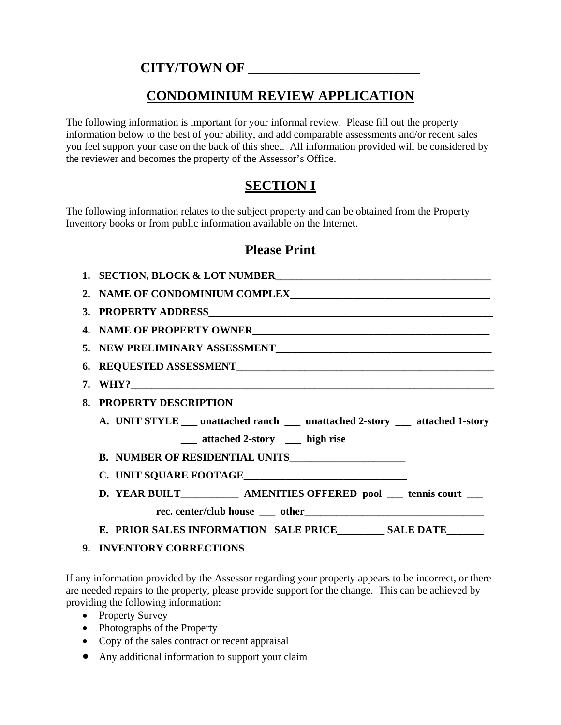### **CITY/TOWN OF \_\_\_\_\_\_\_\_\_\_\_\_\_\_\_\_\_\_\_\_\_\_\_\_\_**

## **CONDOMINIUM REVIEW APPLICATION**

The following information is important for your informal review. Please fill out the property information below to the best of your ability, and add comparable assessments and/or recent sales you feel support your case on the back of this sheet. All information provided will be considered by the reviewer and becomes the property of the Assessor's Office.

# **SECTION I**

The following information relates to the subject property and can be obtained from the Property Inventory books or from public information available on the Internet.

### **Please Print**

| 1. SECTION, BLOCK & LOT NUMBER                                                   |  |  |
|----------------------------------------------------------------------------------|--|--|
|                                                                                  |  |  |
|                                                                                  |  |  |
|                                                                                  |  |  |
|                                                                                  |  |  |
|                                                                                  |  |  |
| 7. WHY?                                                                          |  |  |
| 8. PROPERTY DESCRIPTION                                                          |  |  |
| A. UNIT STYLE ___ unattached ranch ____ unattached 2-story ____ attached 1-story |  |  |
| ____ attached 2-story _____ high rise                                            |  |  |
|                                                                                  |  |  |
|                                                                                  |  |  |
| D. YEAR BUILT_____________ AMENITIES OFFERED pool ____ tennis court ___          |  |  |
|                                                                                  |  |  |
| E. PRIOR SALES INFORMATION SALE PRICE ________ SALE DATE ______                  |  |  |

#### **9. INVENTORY CORRECTIONS**

If any information provided by the Assessor regarding your property appears to be incorrect, or there are needed repairs to the property, please provide support for the change. This can be achieved by providing the following information:

- Property Survey
- Photographs of the Property
- Copy of the sales contract or recent appraisal
- Any additional information to support your claim